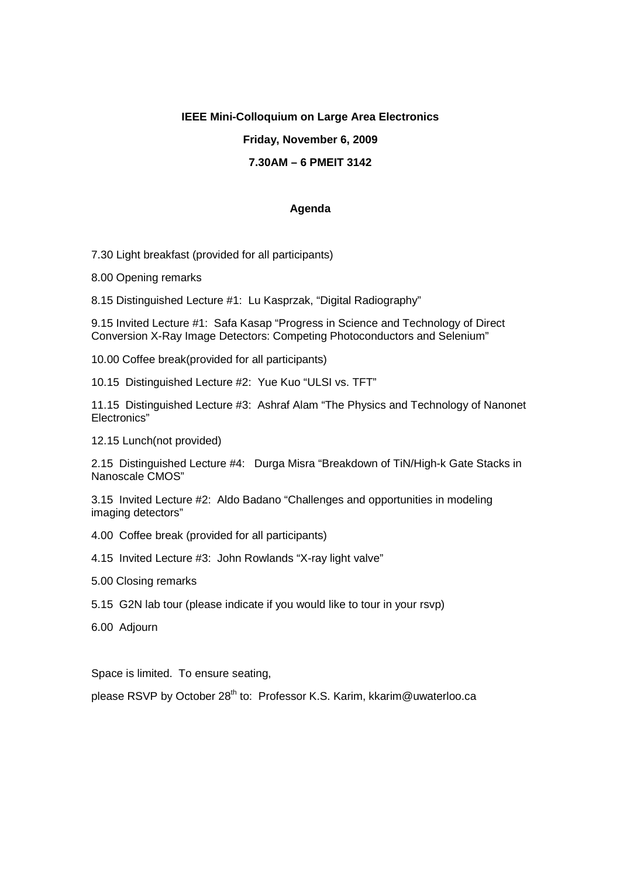### **IEEE Mini-Colloquium on Large Area Electronics**

# **Friday, November 6, 2009**

### **7.30AM – 6 PMEIT 3142**

#### **Agenda**

7.30 Light breakfast (provided for all participants)

8.00 Opening remarks

8.15 Distinguished Lecture #1: Lu Kasprzak, "Digital Radiography"

9.15 Invited Lecture #1: Safa Kasap "Progress in Science and Technology of Direct Conversion X-Ray Image Detectors: Competing Photoconductors and Selenium"

10.00 Coffee break(provided for all participants)

10.15 Distinguished Lecture #2: Yue Kuo "ULSI vs. TFT"

11.15 Distinguished Lecture #3: Ashraf Alam "The Physics and Technology of Nanonet Electronics"

12.15 Lunch(not provided)

2.15 Distinguished Lecture #4: Durga Misra "Breakdown of TiN/High-k Gate Stacks in Nanoscale CMOS"

3.15 Invited Lecture #2: Aldo Badano "Challenges and opportunities in modeling imaging detectors"

- 4.00 Coffee break (provided for all participants)
- 4.15 Invited Lecture #3: John Rowlands "X-ray light valve"
- 5.00 Closing remarks
- 5.15 G2N lab tour (please indicate if you would like to tour in your rsvp)
- 6.00 Adjourn

Space is limited. To ensure seating,

please RSVP by October 28<sup>th</sup> to: Professor K.S. Karim, kkarim@uwaterloo.ca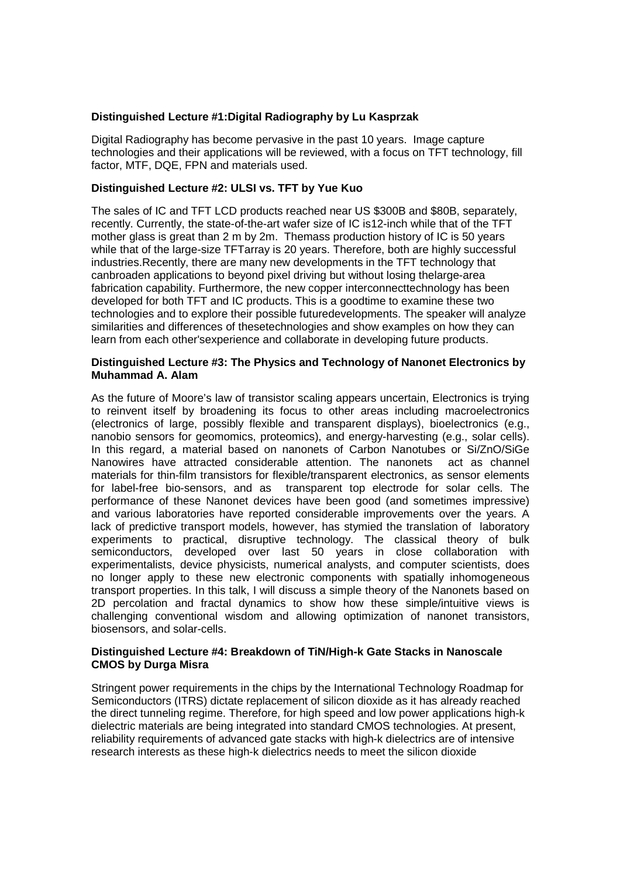# **Distinguished Lecture #1:Digital Radiography by Lu Kasprzak**

Digital Radiography has become pervasive in the past 10 years. Image capture technologies and their applications will be reviewed, with a focus on TFT technology, fill factor, MTF, DQE, FPN and materials used.

# **Distinguished Lecture #2: ULSI vs. TFT by Yue Kuo**

The sales of IC and TFT LCD products reached near US \$300B and \$80B, separately, recently. Currently, the state-of-the-art wafer size of IC is12-inch while that of the TFT mother glass is great than 2 m by 2m. Themass production history of IC is 50 years while that of the large-size TFTarray is 20 years. Therefore, both are highly successful industries.Recently, there are many new developments in the TFT technology that canbroaden applications to beyond pixel driving but without losing thelarge-area fabrication capability. Furthermore, the new copper interconnecttechnology has been developed for both TFT and IC products. This is a goodtime to examine these two technologies and to explore their possible futuredevelopments. The speaker will analyze similarities and differences of thesetechnologies and show examples on how they can learn from each other'sexperience and collaborate in developing future products.

### **Distinguished Lecture #3: The Physics and Technology of Nanonet Electronics by Muhammad A. Alam**

As the future of Moore's law of transistor scaling appears uncertain, Electronics is trying to reinvent itself by broadening its focus to other areas including macroelectronics (electronics of large, possibly flexible and transparent displays), bioelectronics (e.g., nanobio sensors for geomomics, proteomics), and energy-harvesting (e.g., solar cells). In this regard, a material based on nanonets of Carbon Nanotubes or Si/ZnO/SiGe Nanowires have attracted considerable attention. The nanonets act as channel materials for thin-film transistors for flexible/transparent electronics, as sensor elements for label-free bio-sensors, and as transparent top electrode for solar cells. The performance of these Nanonet devices have been good (and sometimes impressive) and various laboratories have reported considerable improvements over the years. A lack of predictive transport models, however, has stymied the translation of laboratory experiments to practical, disruptive technology. The classical theory of bulk semiconductors, developed over last 50 years in close collaboration with experimentalists, device physicists, numerical analysts, and computer scientists, does no longer apply to these new electronic components with spatially inhomogeneous transport properties. In this talk, I will discuss a simple theory of the Nanonets based on 2D percolation and fractal dynamics to show how these simple/intuitive views is challenging conventional wisdom and allowing optimization of nanonet transistors, biosensors, and solar-cells.

# **Distinguished Lecture #4: Breakdown of TiN/High-k Gate Stacks in Nanoscale CMOS by Durga Misra**

Stringent power requirements in the chips by the International Technology Roadmap for Semiconductors (ITRS) dictate replacement of silicon dioxide as it has already reached the direct tunneling regime. Therefore, for high speed and low power applications high-k dielectric materials are being integrated into standard CMOS technologies. At present, reliability requirements of advanced gate stacks with high-k dielectrics are of intensive research interests as these high-k dielectrics needs to meet the silicon dioxide